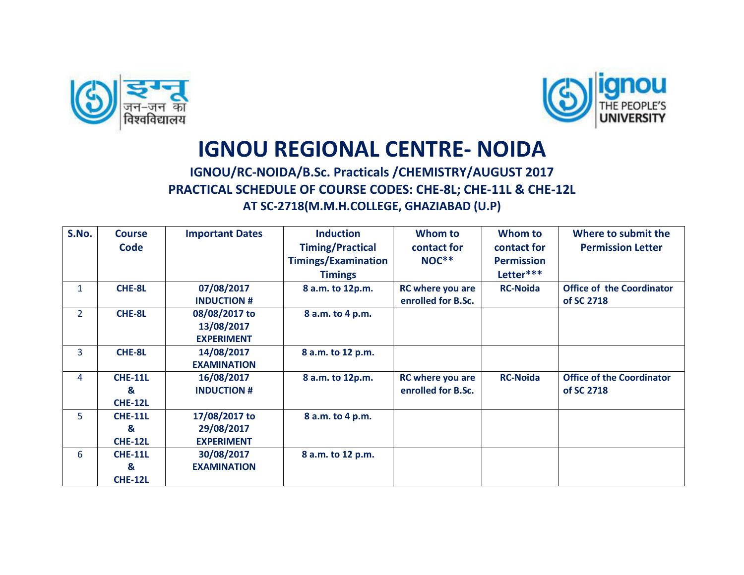



## **IGNOU REGIONAL CENTRE- NOIDA**

## **IGNOU/RC-NOIDA/B.Sc. Practicals /CHEMISTRY/AUGUST 2017 PRACTICAL SCHEDULE OF COURSE CODES: CHE-8L; CHE-11L & CHE-12L AT SC-2718(M.M.H.COLLEGE, GHAZIABAD (U.P)**

| S.No.          | <b>Course</b>  | <b>Important Dates</b> | <b>Induction</b>           | Whom to            | Whom to           | Where to submit the              |
|----------------|----------------|------------------------|----------------------------|--------------------|-------------------|----------------------------------|
|                | <b>Code</b>    |                        | <b>Timing/Practical</b>    | contact for        | contact for       | <b>Permission Letter</b>         |
|                |                |                        | <b>Timings/Examination</b> | <b>NOC**</b>       | <b>Permission</b> |                                  |
|                |                |                        | <b>Timings</b>             |                    | Letter***         |                                  |
| $\mathbf{1}$   | CHE-8L         | 07/08/2017             | 8 a.m. to 12p.m.           | RC where you are   | <b>RC-Noida</b>   | <b>Office of the Coordinator</b> |
|                |                | <b>INDUCTION #</b>     |                            | enrolled for B.Sc. |                   | of SC 2718                       |
| $\overline{2}$ | CHE-8L         | 08/08/2017 to          | 8 a.m. to 4 p.m.           |                    |                   |                                  |
|                |                | 13/08/2017             |                            |                    |                   |                                  |
|                |                | <b>EXPERIMENT</b>      |                            |                    |                   |                                  |
| 3              | CHE-8L         | 14/08/2017             | 8 a.m. to 12 p.m.          |                    |                   |                                  |
|                |                | <b>EXAMINATION</b>     |                            |                    |                   |                                  |
| 4              | <b>CHE-11L</b> | 16/08/2017             | 8 a.m. to 12p.m.           | RC where you are   | <b>RC-Noida</b>   | <b>Office of the Coordinator</b> |
|                | &              | <b>INDUCTION #</b>     |                            | enrolled for B.Sc. |                   | of SC 2718                       |
|                | <b>CHE-12L</b> |                        |                            |                    |                   |                                  |
| 5              | <b>CHE-11L</b> | 17/08/2017 to          | 8 a.m. to 4 p.m.           |                    |                   |                                  |
|                | &              | 29/08/2017             |                            |                    |                   |                                  |
|                | <b>CHE-12L</b> | <b>EXPERIMENT</b>      |                            |                    |                   |                                  |
| 6              | <b>CHE-11L</b> | 30/08/2017             | 8 a.m. to 12 p.m.          |                    |                   |                                  |
|                | &              | <b>EXAMINATION</b>     |                            |                    |                   |                                  |
|                | <b>CHE-12L</b> |                        |                            |                    |                   |                                  |